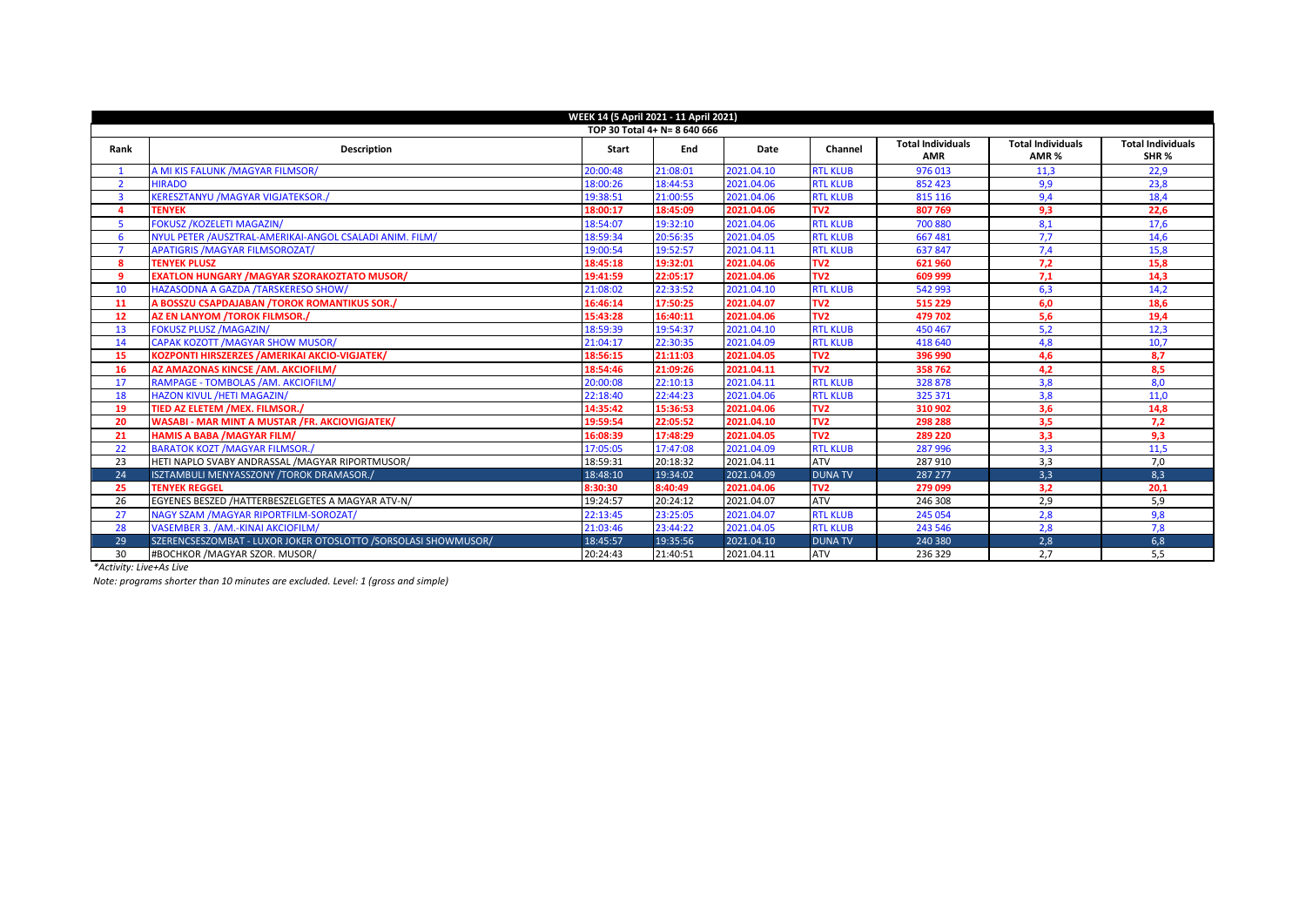| WEEK 14 (5 April 2021 - 11 April 2021) |                                                                |              |          |            |                 |                                        |                                              |                                              |  |  |  |
|----------------------------------------|----------------------------------------------------------------|--------------|----------|------------|-----------------|----------------------------------------|----------------------------------------------|----------------------------------------------|--|--|--|
| TOP 30 Total 4+ N= 8 640 666           |                                                                |              |          |            |                 |                                        |                                              |                                              |  |  |  |
| Rank                                   | Description                                                    | <b>Start</b> | End      | Date       | Channel         | <b>Total Individuals</b><br><b>AMR</b> | <b>Total Individuals</b><br>AMR <sub>%</sub> | <b>Total Individuals</b><br>SHR <sub>%</sub> |  |  |  |
|                                        | A MI KIS FALUNK /MAGYAR FILMSOR/                               | 20:00:48     | 21:08:01 | 2021.04.10 | <b>RTL KLUB</b> | 976013                                 | 11,3                                         | 22,9                                         |  |  |  |
| $\overline{2}$                         | <b>HIRADO</b>                                                  | 18:00:26     | 18:44:53 | 2021.04.06 | <b>RTL KLUB</b> | 852 423                                | 9,9                                          | 23,8                                         |  |  |  |
| $\overline{3}$                         | <b>KERESZTANYU /MAGYAR VIGJATEKSOR./</b>                       | 19:38:51     | 21:00:55 | 2021.04.06 | <b>RTL KLUB</b> | 815 116                                | 9,4                                          | 18,4                                         |  |  |  |
| 4                                      | <b>TENYEK</b>                                                  | 18:00:17     | 18:45:09 | 2021.04.06 | TV <sub>2</sub> | 807 769                                | 9,3                                          | 22,6                                         |  |  |  |
| 5                                      | <b>FOKUSZ /KOZELETI MAGAZIN/</b>                               | 18:54:07     | 19:32:10 | 2021.04.06 | <b>RTL KLUB</b> | 700 880                                | 8,1                                          | 17,6                                         |  |  |  |
| 6                                      | NYUL PETER /AUSZTRAL-AMERIKAI-ANGOL CSALADI ANIM. FILM/        | 18:59:34     | 20:56:35 | 2021.04.05 | <b>RTL KLUB</b> | 667 481                                | 7,7                                          | 14,6                                         |  |  |  |
| $\overline{ }$                         | <b>APATIGRIS /MAGYAR FILMSOROZAT/</b>                          | 19:00:54     | 19:52:57 | 2021.04.11 | <b>RTL KLUB</b> | 637847                                 | 7,4                                          | 15,8                                         |  |  |  |
| 8                                      | <b>TENYEK PLUSZ</b>                                            | 18:45:18     | 19:32:01 | 2021.04.06 | TV <sub>2</sub> | 621 960                                | 7.2                                          | 15,8                                         |  |  |  |
| 9                                      | <b>EXATLON HUNGARY / MAGYAR SZORAKOZTATO MUSOR/</b>            | 19:41:59     | 22:05:17 | 2021.04.06 | TV <sub>2</sub> | 609 999                                | 7.1                                          | 14.3                                         |  |  |  |
| 10                                     | HAZASODNA A GAZDA /TARSKERESO SHOW/                            | 21:08:02     | 22:33:52 | 2021.04.10 | <b>RTL KLUB</b> | 542 993                                | 6,3                                          | 14,2                                         |  |  |  |
| 11                                     | A BOSSZU CSAPDAJABAN /TOROK ROMANTIKUS SOR./                   | 16:46:14     | 17:50:25 | 2021.04.07 | TV <sub>2</sub> | 515 229                                | 6,0                                          | 18,6                                         |  |  |  |
| 12                                     | AZ EN LANYOM /TOROK FILMSOR./                                  | 15:43:28     | 16:40:11 | 2021.04.06 | TV <sub>2</sub> | 479 702                                | 5,6                                          | 19,4                                         |  |  |  |
| 13                                     | <b>FOKUSZ PLUSZ /MAGAZIN/</b>                                  | 18:59:39     | 19:54:37 | 2021.04.10 | <b>RTL KLUB</b> | 450 467                                | 5,2                                          | 12,3                                         |  |  |  |
| 14                                     | <b>CAPAK KOZOTT /MAGYAR SHOW MUSOR/</b>                        | 21:04:17     | 22:30:35 | 2021.04.09 | <b>RTL KLUB</b> | 418 640                                | 4.8                                          | 10.7                                         |  |  |  |
| 15                                     | KOZPONTI HIRSZERZES / AMERIKAI AKCIO-VIGJATEK/                 | 18:56:15     | 21:11:03 | 2021.04.05 | TV <sub>2</sub> | 396 990                                | 4,6                                          | 8.7                                          |  |  |  |
| 16                                     | AZ AMAZONAS KINCSE /AM. AKCIOFILM/                             | 18:54:46     | 21:09:26 | 2021.04.11 | TV <sub>2</sub> | 358762                                 | 4.2                                          | 8.5                                          |  |  |  |
| 17                                     | RAMPAGE - TOMBOLAS /AM. AKCIOFILM/                             | 20:00:08     | 22:10:13 | 2021.04.11 | <b>RTL KLUB</b> | 328 878                                | 3,8                                          | 8.0                                          |  |  |  |
| 18                                     | <b>HAZON KIVUL /HETI MAGAZIN/</b>                              | 22:18:40     | 22:44:23 | 2021.04.06 | <b>RTL KLUB</b> | 325 371                                | 3,8                                          | 11,0                                         |  |  |  |
| 19                                     | TIED AZ ELETEM / MEX. FILMSOR./                                | 14:35:42     | 15:36:53 | 2021.04.06 | TV <sub>2</sub> | 310 902                                | 3.6                                          | 14.8                                         |  |  |  |
| 20                                     | <b>WASABI - MAR MINT A MUSTAR /FR. AKCIOVIGJATEK/</b>          | 19:59:54     | 22:05:52 | 2021.04.10 | TV <sub>2</sub> | 298 288                                | 3,5                                          | 7,2                                          |  |  |  |
| 21                                     | <b>HAMIS A BABA / MAGYAR FILM/</b>                             | 16:08:39     | 17:48:29 | 2021.04.05 | TV <sub>2</sub> | 289 220                                | 3.3                                          | 9.3                                          |  |  |  |
| 22                                     | <b>BARATOK KOZT /MAGYAR FILMSOR./</b>                          | 17:05:05     | 17:47:08 | 2021.04.09 | <b>RTL KLUB</b> | 287 996                                | 3,3                                          | 11,5                                         |  |  |  |
| 23                                     | HETI NAPLO SVABY ANDRASSAL / MAGYAR RIPORTMUSOR/               | 18:59:31     | 20:18:32 | 2021.04.11 | <b>ATV</b>      | 287 910                                | 3,3                                          | 7,0                                          |  |  |  |
| 24                                     | ISZTAMBULI MENYASSZONY /TOROK DRAMASOR./                       | 18:48:10     | 19:34:02 | 2021.04.09 | <b>DUNA TV</b>  | 287 277                                | 3,3                                          | 8,3                                          |  |  |  |
| 25                                     | <b>TENYEK REGGEL</b>                                           | 8:30:30      | 8:40:49  | 2021.04.06 | TV <sub>2</sub> | 279 099                                | 3,2                                          | 20,1                                         |  |  |  |
| 26                                     | EGYENES BESZED /HATTERBESZELGETES A MAGYAR ATV-N/              | 19:24:57     | 20:24:12 | 2021.04.07 | <b>ATV</b>      | 246 308                                | 2,9                                          | 5,9                                          |  |  |  |
| 27                                     | NAGY SZAM / MAGYAR RIPORTFILM-SOROZAT/                         | 22:13:45     | 23:25:05 | 2021.04.07 | <b>RTL KLUB</b> | 245 054                                | 2,8                                          | 9,8                                          |  |  |  |
| 28                                     | VASEMBER 3. /AM.-KINAI AKCIOFILM/                              | 21:03:46     | 23:44:22 | 2021.04.05 | <b>RTL KLUB</b> | 243 546                                | 2,8                                          | 7,8                                          |  |  |  |
| 29                                     | SZERENCSESZOMBAT - LUXOR JOKER OTOSLOTTO /SORSOLASI SHOWMUSOR/ | 18:45:57     | 19:35:56 | 2021.04.10 | <b>DUNA TV</b>  | 240 380                                | 2,8                                          | 6,8                                          |  |  |  |
| 30                                     | #BOCHKOR / MAGYAR SZOR. MUSOR/                                 | 20:24:43     | 21:40:51 | 2021.04.11 | <b>ATV</b>      | 236 329                                | 2,7                                          | 5,5                                          |  |  |  |

*\*Activity: Live+As Live*

*Note: programs shorter than 10 minutes are excluded. Level: 1 (gross and simple)*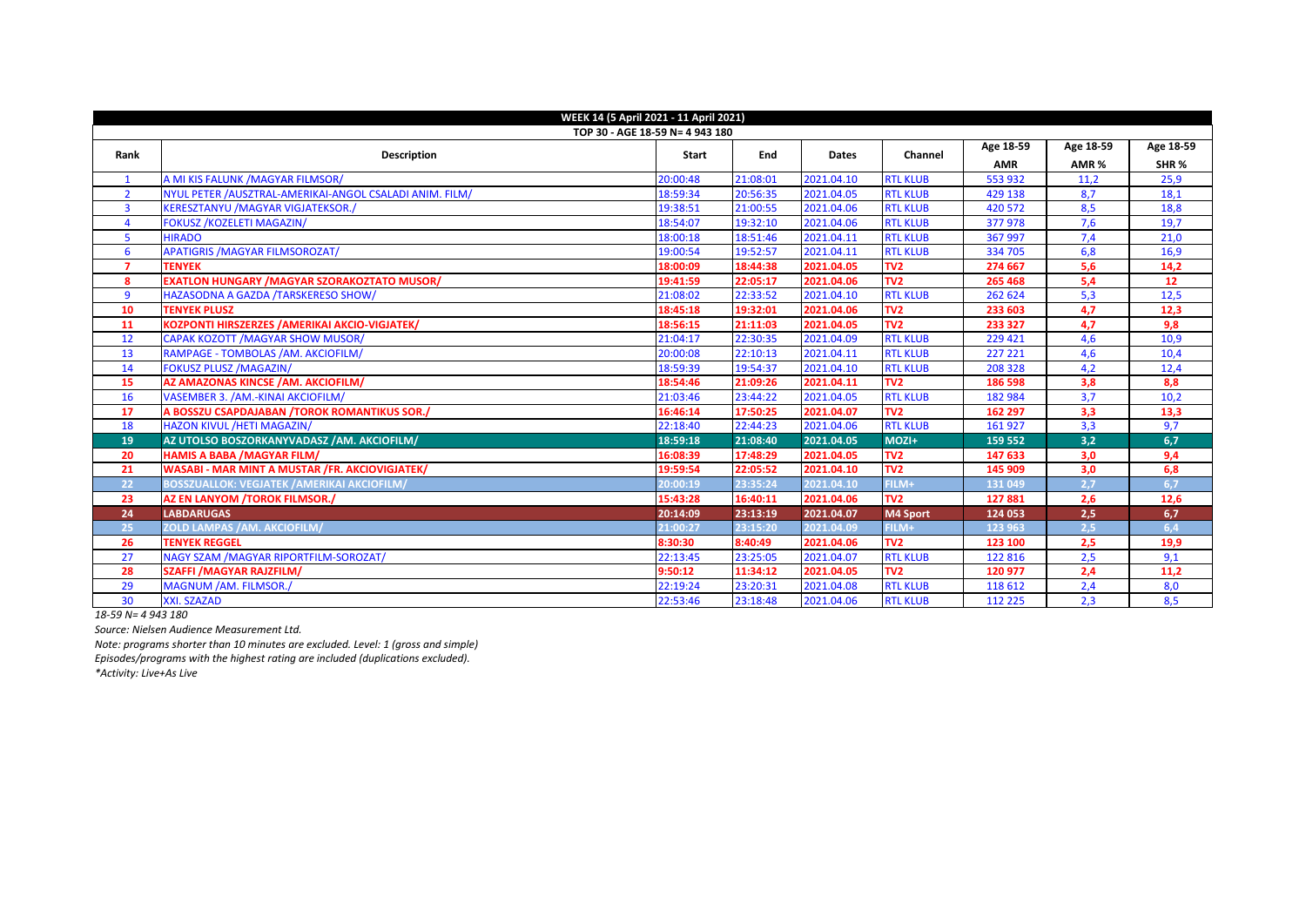| WEEK 14 (5 April 2021 - 11 April 2021) |                                                          |          |          |              |                 |            |           |                 |  |  |
|----------------------------------------|----------------------------------------------------------|----------|----------|--------------|-----------------|------------|-----------|-----------------|--|--|
| TOP 30 - AGE 18-59 N= 4 943 180        |                                                          |          |          |              |                 |            |           |                 |  |  |
| Rank                                   | <b>Description</b>                                       | Start    | End      | <b>Dates</b> | Channel         | Age 18-59  | Age 18-59 | Age 18-59       |  |  |
|                                        |                                                          |          |          |              |                 | <b>AMR</b> | AMR%      | SHR%            |  |  |
| $\mathbf{1}$                           | A MI KIS FALUNK / MAGYAR FILMSOR/                        | 20:00:48 | 21:08:01 | 2021.04.10   | <b>RTL KLUB</b> | 553 932    | 11,2      | 25,9            |  |  |
| $\overline{2}$                         | NYUL PETER / AUSZTRAL-AMERIKAI-ANGOL CSALADI ANIM. FILM/ | 18:59:34 | 20:56:35 | 2021.04.05   | <b>RTL KLUB</b> | 429 138    | 8,7       | 18,1            |  |  |
| $\overline{\mathbf{3}}$                | <b>KERESZTANYU /MAGYAR VIGJATEKSOR./</b>                 | 19:38:51 | 21:00:55 | 2021.04.06   | <b>RTL KLUB</b> | 420 572    | 8,5       | 18,8            |  |  |
| $\boldsymbol{\Lambda}$                 | <b>FOKUSZ /KOZELETI MAGAZIN/</b>                         | 18:54:07 | 19:32:10 | 2021.04.06   | <b>RTL KLUB</b> | 377978     | 7,6       | 19,7            |  |  |
| 5                                      | <b>HIRADO</b>                                            | 18:00:18 | 18:51:46 | 2021.04.11   | <b>RTL KLUB</b> | 367 997    | 7,4       | 21,0            |  |  |
| 6                                      | <b>APATIGRIS / MAGYAR FILMSOROZAT/</b>                   | 19:00:54 | 19:52:57 | 2021.04.11   | <b>RTL KLUB</b> | 334 705    | 6,8       | 16,9            |  |  |
| $\overline{7}$                         | <b>TENYEK</b>                                            | 18:00:09 | 18:44:38 | 2021.04.05   | TV <sub>2</sub> | 274 667    | 5.6       | 14,2            |  |  |
| 8                                      | <b>EXATLON HUNGARY / MAGYAR SZORAKOZTATO MUSOR/</b>      | 19:41:59 | 22:05:17 | 2021.04.06   | TV <sub>2</sub> | 265 468    | 5,4       | 12 <sup>°</sup> |  |  |
| 9                                      | HAZASODNA A GAZDA /TARSKERESO SHOW/                      | 21:08:02 | 22:33:52 | 2021.04.10   | <b>RTL KLUB</b> | 262 624    | 5,3       | 12,5            |  |  |
| 10                                     | <b>TENYEK PLUSZ</b>                                      | 18:45:18 | 19:32:01 | 2021.04.06   | TV <sub>2</sub> | 233 603    | 4,7       | 12,3            |  |  |
| 11                                     | KOZPONTI HIRSZERZES / AMERIKAI AKCIO-VIGJATEK/           | 18:56:15 | 21:11:03 | 2021.04.05   | TV <sub>2</sub> | 233 327    | 4,7       | 9,8             |  |  |
| 12                                     | CAPAK KOZOTT / MAGYAR SHOW MUSOR/                        | 21:04:17 | 22:30:35 | 2021.04.09   | <b>RTL KLUB</b> | 229 421    | 4,6       | 10,9            |  |  |
| 13                                     | RAMPAGE - TOMBOLAS /AM. AKCIOFILM/                       | 20:00:08 | 22:10:13 | 2021.04.11   | <b>RTL KLUB</b> | 227 221    | 4,6       | 10,4            |  |  |
| 14                                     | <b>FOKUSZ PLUSZ /MAGAZIN/</b>                            | 18:59:39 | 19:54:37 | 2021.04.10   | <b>RTL KLUB</b> | 208 328    | 4,2       | 12,4            |  |  |
| 15                                     | AZ AMAZONAS KINCSE / AM. AKCIOFILM/                      | 18:54:46 | 21:09:26 | 2021.04.11   | TV <sub>2</sub> | 186 598    | 3,8       | 8,8             |  |  |
| 16                                     | VASEMBER 3. /AM.-KINAI AKCIOFILM/                        | 21:03:46 | 23:44:22 | 2021.04.05   | <b>RTL KLUB</b> | 182 984    | 3,7       | 10,2            |  |  |
| 17                                     | A BOSSZU CSAPDAJABAN / TOROK ROMANTIKUS SOR./            | 16:46:14 | 17:50:25 | 2021.04.07   | TV <sub>2</sub> | 162 297    | 3,3       | 13,3            |  |  |
| 18                                     | HAZON KIVUL /HETI MAGAZIN/                               | 22:18:40 | 22:44:23 | 2021.04.06   | <b>RTL KLUB</b> | 161 927    | 3,3       | 9,7             |  |  |
| 19                                     | AZ UTOLSO BOSZORKANYVADASZ / AM. AKCIOFILM/              | 18:59:18 | 21:08:40 | 2021.04.05   | MOZI+           | 159 552    | 3,2       | 6,7             |  |  |
| 20                                     | <b>HAMIS A BABA /MAGYAR FILM/</b>                        | 16:08:39 | 17:48:29 | 2021.04.05   | TV <sub>2</sub> | 147 633    | 3,0       | 9,4             |  |  |
| 21                                     | WASABI - MAR MINT A MUSTAR /FR. AKCIOVIGJATEK/           | 19:59:54 | 22:05:52 | 2021.04.10   | TV <sub>2</sub> | 145 909    | 3,0       | 6,8             |  |  |
| 22                                     | <b>BOSSZUALLOK: VEGJATEK /AMERIKAI AKCIOFILM/</b>        | 20:00:19 | 23:35:24 | 2021.04.10   | FILM+           | 131049     | 2,7       | 6,7             |  |  |
| 23                                     | AZ EN LANYOM /TOROK FILMSOR./                            | 15:43:28 | 16:40:11 | 2021.04.06   | TV <sub>2</sub> | 127881     | 2,6       | 12,6            |  |  |
| 24                                     | <b>LABDARUGAS</b>                                        | 20:14:09 | 23:13:19 | 2021.04.07   | M4 Sport        | 124 053    | 2,5       | 6,7             |  |  |
| 25                                     | <b>ZOLD LAMPAS /AM. AKCIOFILM/</b>                       | 21:00:27 | 23:15:20 | 2021.04.09   | FILM+           | 123 963    | 2,5       | 6,4             |  |  |
| 26                                     | <b>TENYEK REGGEL</b>                                     | 8:30:30  | 8:40:49  | 2021.04.06   | TV <sub>2</sub> | 123 100    | 2,5       | 19,9            |  |  |
| 27                                     | NAGY SZAM / MAGYAR RIPORTFILM-SOROZAT/                   | 22:13:45 | 23:25:05 | 2021.04.07   | <b>RTL KLUB</b> | 122 816    | 2,5       | 9,1             |  |  |
| 28                                     | <b>SZAFFI / MAGYAR RAJZFILM/</b>                         | 9:50:12  | 11:34:12 | 2021.04.05   | TV <sub>2</sub> | 120 977    | 2,4       | 11,2            |  |  |
| 29                                     | MAGNUM /AM. FILMSOR./                                    | 22:19:24 | 23:20:31 | 2021.04.08   | <b>RTL KLUB</b> | 118 612    | 2,4       | 8,0             |  |  |
| 30                                     | XXI. SZAZAD                                              | 22:53:46 | 23:18:48 | 2021.04.06   | <b>RTL KLUB</b> | 112 225    | 2,3       | 8,5             |  |  |

*18-59 N= 4 943 180*

*Source: Nielsen Audience Measurement Ltd.*

*Note: programs shorter than 10 minutes are excluded. Level: 1 (gross and simple)* 

*Episodes/programs with the highest rating are included (duplications excluded).* 

*\*Activity: Live+As Live*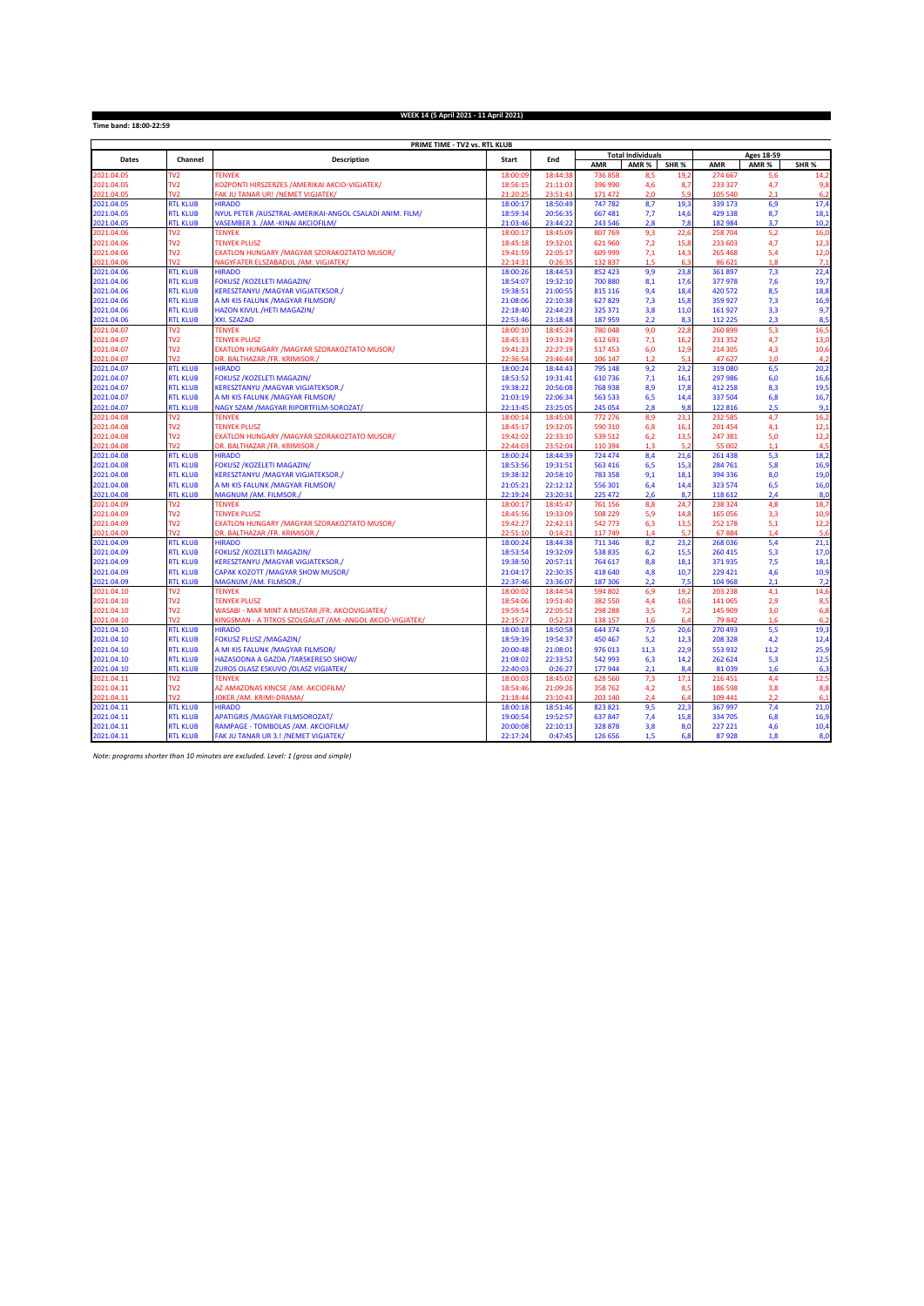**Time band: 18:00-22:59**

## **WEEK 14 (5 April 2021 - 11 April 2021)**

| PRIME TIME - TV2 vs. RTL KLUB |                 |                                                          |              |          |         |                          |      |                   |       |                 |
|-------------------------------|-----------------|----------------------------------------------------------|--------------|----------|---------|--------------------------|------|-------------------|-------|-----------------|
| Dates                         | Channel         | <b>Description</b>                                       |              | End      |         | <b>Total Individuals</b> |      | <b>Ages 18-59</b> |       |                 |
|                               |                 |                                                          | <b>Start</b> |          | AMR     | AMR%                     | SHR% | AMR               | AMR % | SHR%            |
| 2021.04.05                    | TV <sub>2</sub> | <b>TENYEK</b>                                            | 18:00:09     | 18:44:3  | 736858  | 8,5                      | 19,2 | 274 667           | 5,6   | 14,2            |
| 2021.04.05                    | TV <sub>2</sub> | KOZPONTI HIRSZERZES /AMERIKAI AKCIO-VIGJATEK/            | 18:56:15     | 21:11:03 | 396 990 | 4,6                      | 8,7  | 233 327           | 4,7   | 9,8             |
| 2021.04.05                    | TV <sub>2</sub> | FAK JU TANAR UR! / NEMET VIGJATEK/                       | 21:20:25     | 23:51:4  | 171 472 | 2,0                      | 5.9  | 105 540           | 2.1   | 6,2             |
| 2021.04.05                    | <b>RTL KLUB</b> | <b>HIRADO</b>                                            | 18:00:17     | 18:50:49 | 747782  | 8,7                      | 19,3 | 339 173           | 6,9   | 17,4            |
| 2021.04.05                    | <b>RTL KLUB</b> | NYUL PETER / AUSZTRAL-AMERIKAI-ANGOL CSALADI ANIM. FILM/ | 18:59:34     | 20:56:35 | 667 481 | 7,7                      | 14,6 | 429 138           | 8,7   | 18,1            |
| 2021.04.05                    | <b>RTL KLUB</b> | VASEMBER 3. /AM.-KINAI AKCIOFILM/                        | 21:03:4      | 23:44:2  | 243 546 | 2,8                      | 7,8  | 182 984           | 3,7   | 10,2            |
| 2021.04.06                    | TV <sub>2</sub> | <b>TENYEK</b>                                            | 18:00:17     | 18:45:0  | 807 769 | 9,3                      | 22,6 | 258 704           | 5,2   | 16,0            |
| 2021.04.06                    | TV <sub>2</sub> | <b>TENYEK PLUSZ</b>                                      | 18:45:18     | 19:32:01 | 621960  | 7,2                      | 15,8 | 233 603           | 4,7   | 12,3            |
| 2021.04.06                    | TV <sub>2</sub> | EXATLON HUNGARY / MAGYAR SZORAKOZTATO MUSOR/             | 19:41:59     | 22:05:17 | 609 999 | 7,1                      | 14,3 | 265 468           | 5,4   | 12 <sub>c</sub> |
| 2021.04.06                    | TV <sub>2</sub> | NAGYFATER ELSZABADUL /AM. VIGJATEK/                      | 22:14:3'     | 0:26:3   | 132837  | 1.5                      | 6.3  | 86 621            | 1.8   | 7,1             |
| 2021.04.06                    | <b>RTL KLUB</b> | <b>HIRADO</b>                                            | 18:00:26     | 18:44:53 | 852 423 | 9.9                      | 23.8 | 361 897           | 7,3   | 22,4            |
| 2021.04.06                    | <b>RTL KLUB</b> | <b>FOKUSZ / KOZELETI MAGAZIN/</b>                        | 18:54:07     | 19:32:10 | 700 880 | 8,1                      | 17,6 | 377978            | 7,6   | 19,7            |
| 2021.04.06                    | <b>RTL KLUB</b> | KERESZTANYU / MAGYAR VIGJATEKSOR./                       | 19:38:51     | 21:00:55 | 815 116 | 9,4                      | 18,4 | 420 572           | 8,5   | 18,8            |
| 2021.04.06                    | <b>RTL KLUB</b> | A MI KIS FALUNK / MAGYAR FILMSOR/                        | 21:08:06     | 22:10:38 | 627829  | 7,3                      | 15,8 | 359 927           | 7,3   | 16,9            |
| 2021.04.06                    | <b>RTL KLUB</b> | HAZON KIVUL /HETI MAGAZIN/                               | 22:18:40     | 22:44:23 | 325 371 | 3,8                      | 11,0 | 161 927           | 3,3   | 9,7             |
| 2021.04.06                    | <b>RTL KLUB</b> | XXI. SZAZAD                                              | 22:53:4      | 23:18:4  | 187959  | 2,2                      | 8,3  | 112 225           | 2,3   | 8,5             |
| 2021.04.07                    | TV <sub>2</sub> | <b>TENYEK</b>                                            | 18:00:10     | 18:45:24 | 780 048 | 9,0                      | 22,8 | 260 899           | 5,3   | 16,5            |
| 2021.04.07                    | TV <sub>2</sub> | <b>TENYEK PLUSZ</b>                                      | 18:45:33     | 19:31:29 | 612 691 | 7,1                      | 16,2 | 231 352           | 4,7   | 13,0            |
| 2021.04.07                    | TV <sub>2</sub> | EXATLON HUNGARY / MAGYAR SZORAKOZTATO MUSOR/             | 19:41:23     | 22:27:19 | 517453  | 6,0                      | 12,9 | 214 305           | 4,3   | 10,6            |
| 2021.04.07                    | TV <sub>2</sub> | DR. BALTHAZAR /FR. KRIMISOR./                            | 22:36:54     | 23:46:44 | 106 147 | 1.2                      | 5.1  | 47627             | 1.0   | 4,2             |
| 2021.04.07                    | <b>RTL KLUB</b> | <b>HIRADO</b>                                            | 18:00:24     | 18:44:43 | 795 148 | 9,2                      | 23,2 | 319 080           | 6,5   | 20,2            |
| 2021.04.07                    | <b>RTL KLUB</b> | <b>FOKUSZ /KOZELETI MAGAZIN/</b>                         | 18:53:52     | 19:31:41 | 610736  | 7,1                      | 16,1 | 297 986           | 6,0   | 16,6            |
| 2021.04.07                    | <b>RTL KLUB</b> | KERESZTANYU / MAGYAR VIGJATEKSOR./                       | 19:38:22     | 20:56:08 | 768938  | 8,9                      | 17.8 | 412 258           | 8.3   | 19,5            |
| 2021.04.07                    | <b>RTL KLUB</b> | A MI KIS FALUNK / MAGYAR FILMSOR/                        | 21:03:19     | 22:06:34 | 563 533 | 6,5                      | 14,4 | 337 504           | 6,8   | 16,7            |
| 2021.04.07                    | <b>RTL KLUB</b> | NAGY SZAM /MAGYAR RIPORTFILM-SOROZAT/                    | 22:13:45     | 23:25:05 | 245 054 | 2.8                      | 9.8  | 122 816           | 2.5   | 9,1             |
| 2021.04.08                    | TV <sub>2</sub> | <b>TENYEK</b>                                            | 18:00:14     | 18:45:08 | 772 276 | 8,9                      | 23,1 | 232 585           | 4,7   | 16,2            |
| 2021.04.08                    | TV <sub>2</sub> | <b>TENYEK PLUSZ</b>                                      | 18:45:17     | 19:32:05 | 590 310 | 6,8                      | 16,1 | 201 454           | 4,1   | 12,1            |
| 2021.04.08                    | TV <sub>2</sub> | EXATLON HUNGARY / MAGYAR SZORAKOZTATO MUSOR/             | 19:42:02     | 22:33:10 | 539 512 | 6,2                      | 13,5 | 247 381           | 5,0   | 12,2            |
| 2021.04.08                    | $\overline{N2}$ | DR. BALTHAZAR /FR. KRIMISOR./                            | 22:44:03     | 23:52:0  | 110 394 | 1.3                      | 5.2  | 55 002            | 1.1   | 4.5             |
| 2021.04.08                    | <b>RTL KLUB</b> | <b>HIRADO</b>                                            | 18:00:24     | 18:44:39 | 724 474 | 8,4                      | 21,6 | 261 438           | 5,3   | 18,2            |
| 2021.04.08                    | <b>RTL KLUB</b> | <b>FOKUSZ /KOZELETI MAGAZIN/</b>                         | 18:53:56     | 19:31:51 | 563 416 | 6,5                      | 15,3 | 284 761           | 5,8   | 16,9            |
| 2021.04.08                    | <b>RTL KLUB</b> | KERESZTANYU / MAGYAR VIGJATEKSOR./                       | 19:38:32     | 20:58:10 | 783 358 | 9,1                      | 18,1 | 394 336           | 8,0   | 19,0            |
| 2021.04.08                    | <b>RTL KLUB</b> | A MI KIS FALUNK / MAGYAR FILMSOR/                        | 21:05:21     | 22:12:12 | 556 301 | 6,4                      | 14,4 | 323 574           | 6,5   | 16,0            |
| 2021.04.08                    | <b>RTL KLUB</b> | MAGNUM / AM. FILMSOR.                                    | 22:19:24     | 23:20:31 | 225 472 | 2.6                      | 8.7  | 118 612           | 2.4   | 8.0             |
| 2021.04.09                    | TV <sub>2</sub> | <b>TENYEK</b>                                            | 18:00:17     | 18:45:47 | 761 156 | 8,8                      | 24,7 | 238 324           | 4,8   | 18,7            |
| 2021.04.09                    | TV <sub>2</sub> | <b>TENYEK PLUSZ</b>                                      | 18:45:56     | 19:33:09 | 508 229 | 5,9                      | 14,8 | 165 056           | 3,3   | 10,9            |
| 2021.04.09                    | TV <sub>2</sub> | EXATLON HUNGARY / MAGYAR SZORAKOZTATO MUSOR/             | 19:42:27     | 22:42:13 | 542773  | 6,3                      | 13,5 | 252 178           | 5,1   | 12,2            |
| 2021.04.09                    | TV <sub>2</sub> | DR. BALTHAZAR / FR. KRIMISOR./                           | 22:51:10     | 0:14:2   | 117 749 | 1,4                      | 5.7  | 67884             | 1,4   | 5,6             |
| 2021.04.09                    | <b>RTL KLUB</b> | <b>HIRADO</b>                                            | 18:00:24     | 18:44:38 | 711 346 | 8,2                      | 23,2 | 268 036           | 5,4   | 21,1            |
| 2021.04.09                    | <b>RTL KLUB</b> | <b>FOKUSZ /KOZELETI MAGAZIN/</b>                         | 18:53:54     | 19:32:09 | 538 835 | 6,2                      | 15,5 | 260 415           | 5,3   | 17,0            |
| 2021.04.09                    | <b>RTL KLUB</b> | <b>KERESZTANYU / MAGYAR VIGJATEKSOR./</b>                | 19:38:50     | 20:57:11 | 764 617 | 8,8                      | 18,1 | 371 935           | 7,5   | 18,1            |
| 2021.04.09                    | <b>RTL KLUB</b> | CAPAK KOZOTT / MAGYAR SHOW MUSOR/                        | 21:04:17     | 22:30:35 | 418 640 | 4,8                      | 10,7 | 229 421           | 4,6   | 10,9            |
| 2021.04.09                    | <b>RTL KLUB</b> | MAGNUM /AM. FILMSOR./                                    | 22:37:46     | 23:36:07 | 187 306 | 2.2                      | 7.5  | 104 968           | 2.1   | 7.2             |
| 2021.04.10                    | TV <sub>2</sub> | <b>TENYEK</b>                                            | 18:00:02     | 18:44:5  | 594 802 | 6,9                      | 19,2 | 203 238           | 4,1   | 14,6            |
| 2021.04.10                    | TV <sub>2</sub> | <b>TENYEK PLUSZ</b>                                      | 18:54:06     | 19:51:40 | 382 550 | 4,4                      | 10,6 | 141 065           | 2,9   | 8,5             |
| 2021.04.10                    | TV <sub>2</sub> | WASABI - MAR MINT A MUSTAR /FR. AKCIOVIGJATEK/           | 19:59:54     | 22:05:52 | 298 288 | 3,5                      | 7,2  | 145 909           | 3,0   | 6,8             |
| 2021.04.10                    | TV <sub>2</sub> | KINGSMAN - A TITKOS SZOLGALAT /AM.-ANGOL AKCIO-VIGJATEK/ | 22:15:27     | 0:52:2   | 138 157 | 1,6                      | 6.4  | 79 842            | 1.6   | 6,2             |
| 2021.04.10                    | <b>RTL KLUB</b> | <b>HIRADO</b>                                            | 18:00:18     | 18:50:58 | 644 374 | 7,5                      | 20,6 | 270 493           | 5,5   | 19,3            |
| 2021.04.10                    | <b>RTL KLUB</b> | <b>FOKUSZ PLUSZ /MAGAZIN/</b>                            | 18:59:39     | 19:54:37 | 450 467 | 5,2                      | 12,3 | 208 328           | 4,2   | 12,4            |
| 2021.04.10                    | <b>RTL KLUB</b> | A MI KIS FALUNK / MAGYAR FILMSOR/                        | 20:00:48     | 21:08:01 | 976013  | 11,3                     | 22,9 | 553 932           | 11,2  | 25,9            |
| 2021.04.10                    | <b>RTL KLUB</b> | HAZASODNA A GAZDA /TARSKERESO SHOW/                      | 21:08:02     | 22:33:52 | 542 993 | 6,3                      | 14,2 | 262 624           | 5,3   | 12,5            |
| 2021.04.10                    | <b>RTL KLUB</b> | ZUROS OLASZ ESKUVO /OLASZ VIGJATEK/                      | 22:40:03     | 0:26:27  | 177944  | 2.1                      | 8.4  | 81039             | 1.6   | 6.3             |
| 2021.04.11                    | TV <sub>2</sub> | <b>TENYEK</b>                                            | 18:00:0      | 18:45:0  | 628 560 | 7,3                      | 17,1 | 216 451           | 4,4   | 12,5            |
| 2021.04.11                    | TV <sub>2</sub> | AZ AMAZONAS KINCSE /AM. AKCIOFILM/                       | 18:54:46     | 21:09:26 | 358 762 | 4,2                      | 8,5  | 186 598           | 3,8   | 8,8             |
| 2021.04.11                    | TV <sub>2</sub> | JOKER / AM. KRIMI-DRAMA/                                 | 21:18:4      | 23:10:4  | 203 140 | 2,4                      | 64   | 109 441           | 2.2   | 6,1             |
| 2021.04.11                    | <b>RTL KLUB</b> | <b>HIRADO</b>                                            | 18:00:18     | 18:51:46 | 823 821 | 9,5                      | 22,3 | 367 997           | 7,4   | 21,0            |
| 2021.04.11                    | <b>RTL KLUB</b> | <b>APATIGRIS / MAGYAR FILMSOROZAT/</b>                   | 19:00:54     | 19:52:57 | 637847  | 7,4                      | 15,8 | 334 705           | 6,8   | 16,9            |
| 2021.04.11                    | <b>RTL KLUB</b> | RAMPAGE - TOMBOLAS /AM. AKCIOFILM/                       | 20:00:08     | 22:10:13 | 328 878 | 3,8                      | 8,0  | 227 221           | 4,6   | 10,4            |
| 2021.04.11                    | <b>RTL KLUB</b> | FAK JU TANAR UR 3.! / NEMET VIGJATEK/                    | 22:17:24     | 0:47:45  | 126 656 | 1,5                      | 6,8  | 87928             | 1,8   | 8,0             |

*Note: programs shorter than 10 minutes are excluded. Level: 1 (gross and simple)*